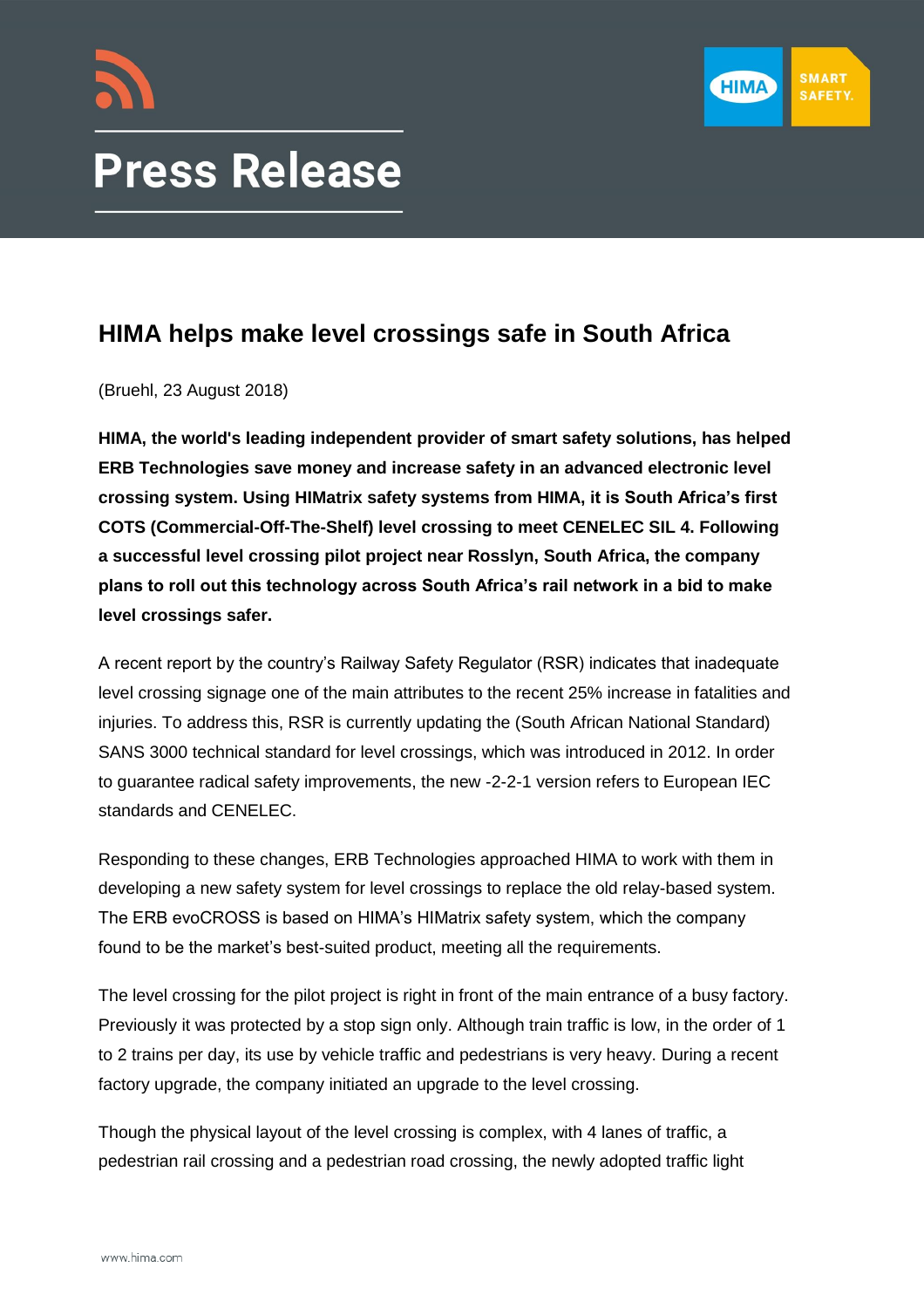

# **Press Release**

# **HIMA helps make level crossings safe in South Africa**

(Bruehl, 23 August 2018)

**HIMA, the world's leading independent provider of smart safety solutions, has helped ERB Technologies save money and increase safety in an advanced electronic level crossing system. Using HIMatrix safety systems from HIMA, it is South Africa's first COTS (Commercial-Off-The-Shelf) level crossing to meet CENELEC SIL 4. Following a successful level crossing pilot project near Rosslyn, South Africa, the company plans to roll out this technology across South Africa's rail network in a bid to make level crossings safer.** 

A recent report by the country's Railway Safety Regulator (RSR) indicates that inadequate level crossing signage one of the main attributes to the recent 25% increase in fatalities and injuries. To address this, RSR is currently updating the (South African National Standard) SANS 3000 technical standard for level crossings, which was introduced in 2012. In order to guarantee radical safety improvements, the new -2-2-1 version refers to European IEC standards and CENELEC.

Responding to these changes, ERB Technologies approached HIMA to work with them in developing a new safety system for level crossings to replace the old relay-based system. The ERB evoCROSS is based on HIMA's HIMatrix safety system, which the company found to be the market's best-suited product, meeting all the requirements.

The level crossing for the pilot project is right in front of the main entrance of a busy factory. Previously it was protected by a stop sign only. Although train traffic is low, in the order of 1 to 2 trains per day, its use by vehicle traffic and pedestrians is very heavy. During a recent factory upgrade, the company initiated an upgrade to the level crossing.

Though the physical layout of the level crossing is complex, with 4 lanes of traffic, a pedestrian rail crossing and a pedestrian road crossing, the newly adopted traffic light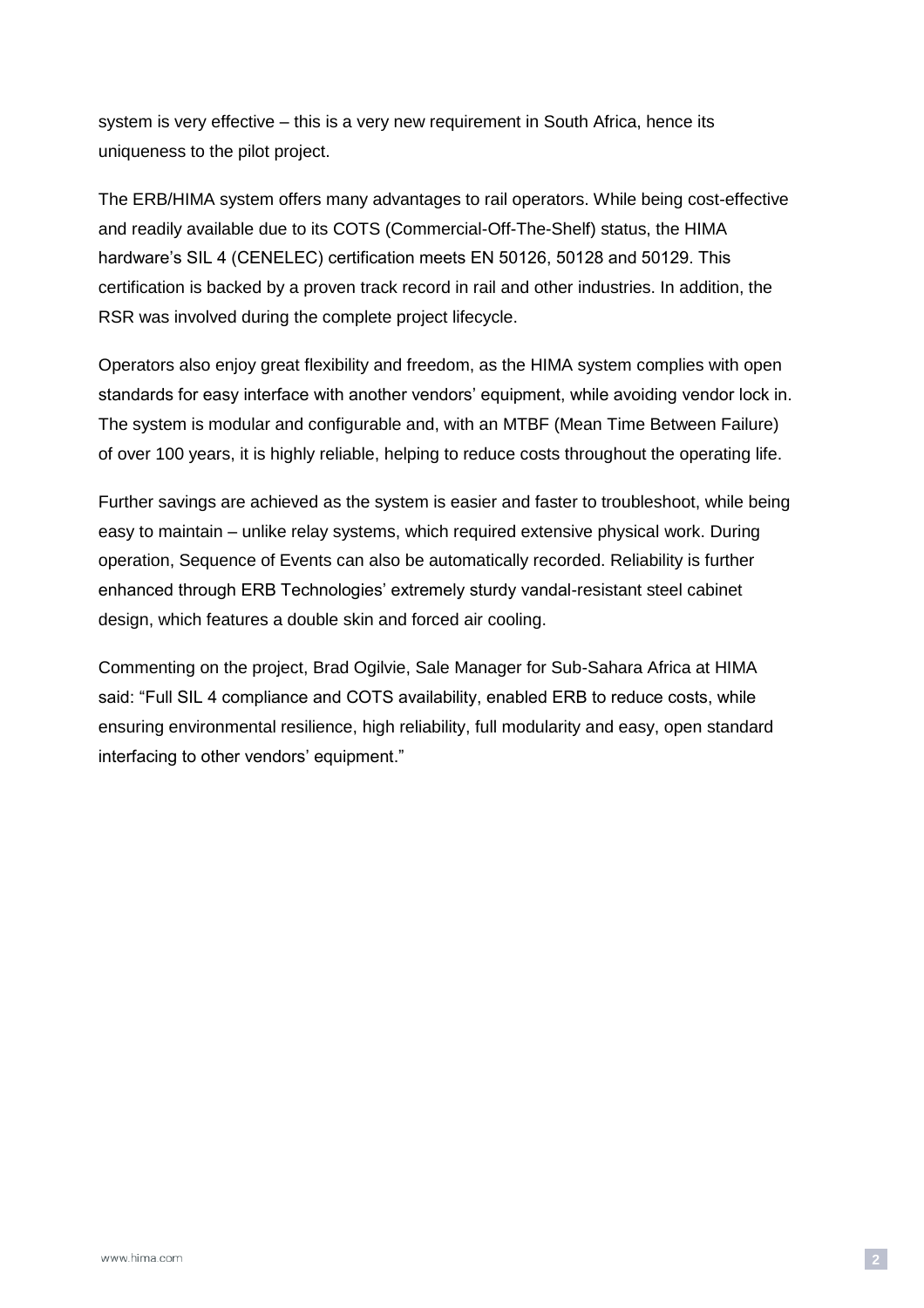system is very effective – this is a very new requirement in South Africa, hence its uniqueness to the pilot project.

The ERB/HIMA system offers many advantages to rail operators. While being cost-effective and readily available due to its COTS (Commercial-Off-The-Shelf) status, the HIMA hardware's SIL 4 (CENELEC) certification meets EN 50126, 50128 and 50129. This certification is backed by a proven track record in rail and other industries. In addition, the RSR was involved during the complete project lifecycle.

Operators also enjoy great flexibility and freedom, as the HIMA system complies with open standards for easy interface with another vendors' equipment, while avoiding vendor lock in. The system is modular and configurable and, with an MTBF (Mean Time Between Failure) of over 100 years, it is highly reliable, helping to reduce costs throughout the operating life.

Further savings are achieved as the system is easier and faster to troubleshoot, while being easy to maintain – unlike relay systems, which required extensive physical work. During operation, Sequence of Events can also be automatically recorded. Reliability is further enhanced through ERB Technologies' extremely sturdy vandal-resistant steel cabinet design, which features a double skin and forced air cooling.

Commenting on the project, Brad Ogilvie, Sale Manager for Sub-Sahara Africa at HIMA said: "Full SIL 4 compliance and COTS availability, enabled ERB to reduce costs, while ensuring environmental resilience, high reliability, full modularity and easy, open standard interfacing to other vendors' equipment."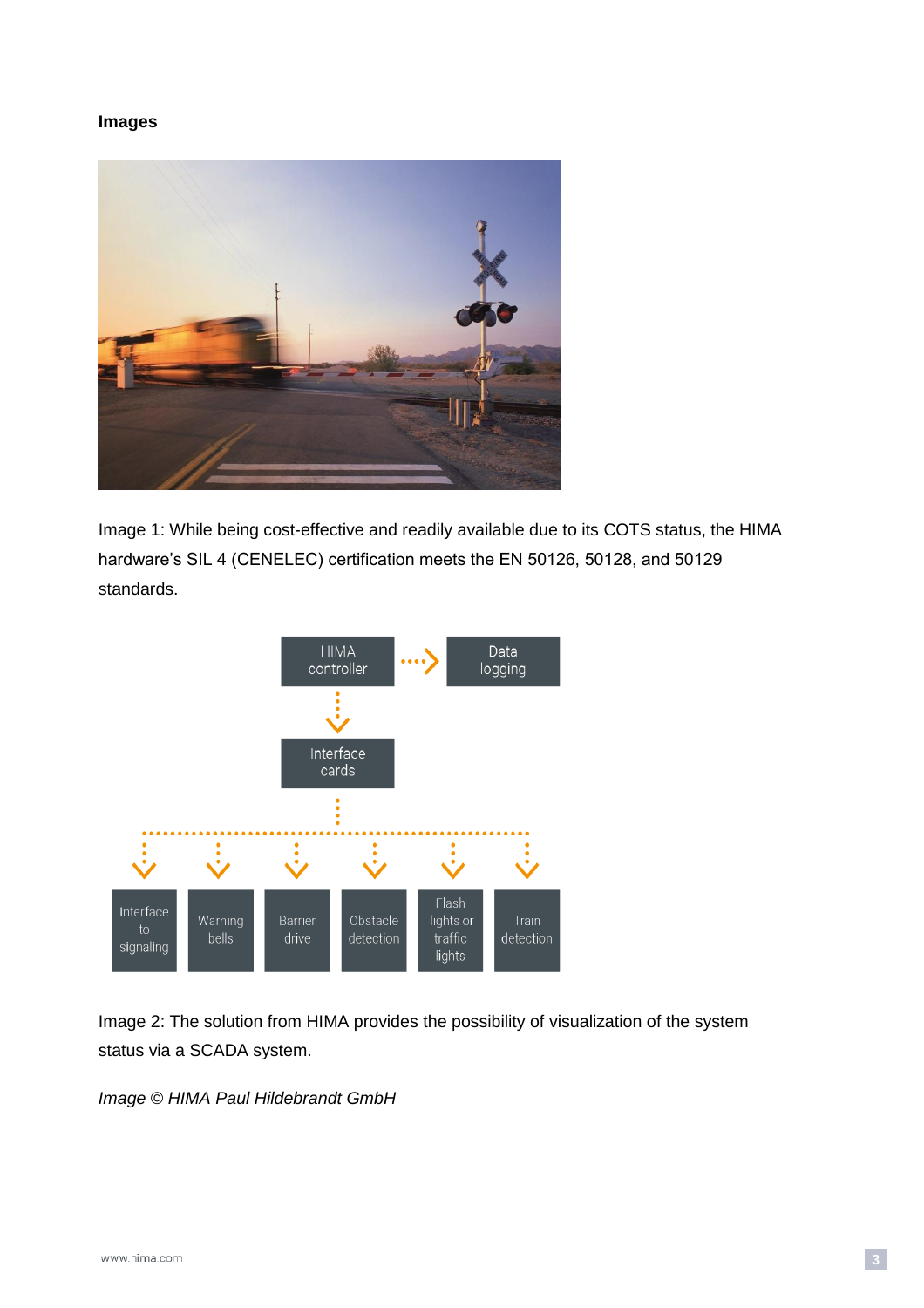### **Images**



Image 1: While being cost-effective and readily available due to its COTS status, the HIMA hardware's SIL 4 (CENELEC) certification meets the EN 50126, 50128, and 50129 standards.



Image 2: The solution from HIMA provides the possibility of visualization of the system status via a SCADA system.

*Image © HIMA Paul Hildebrandt GmbH*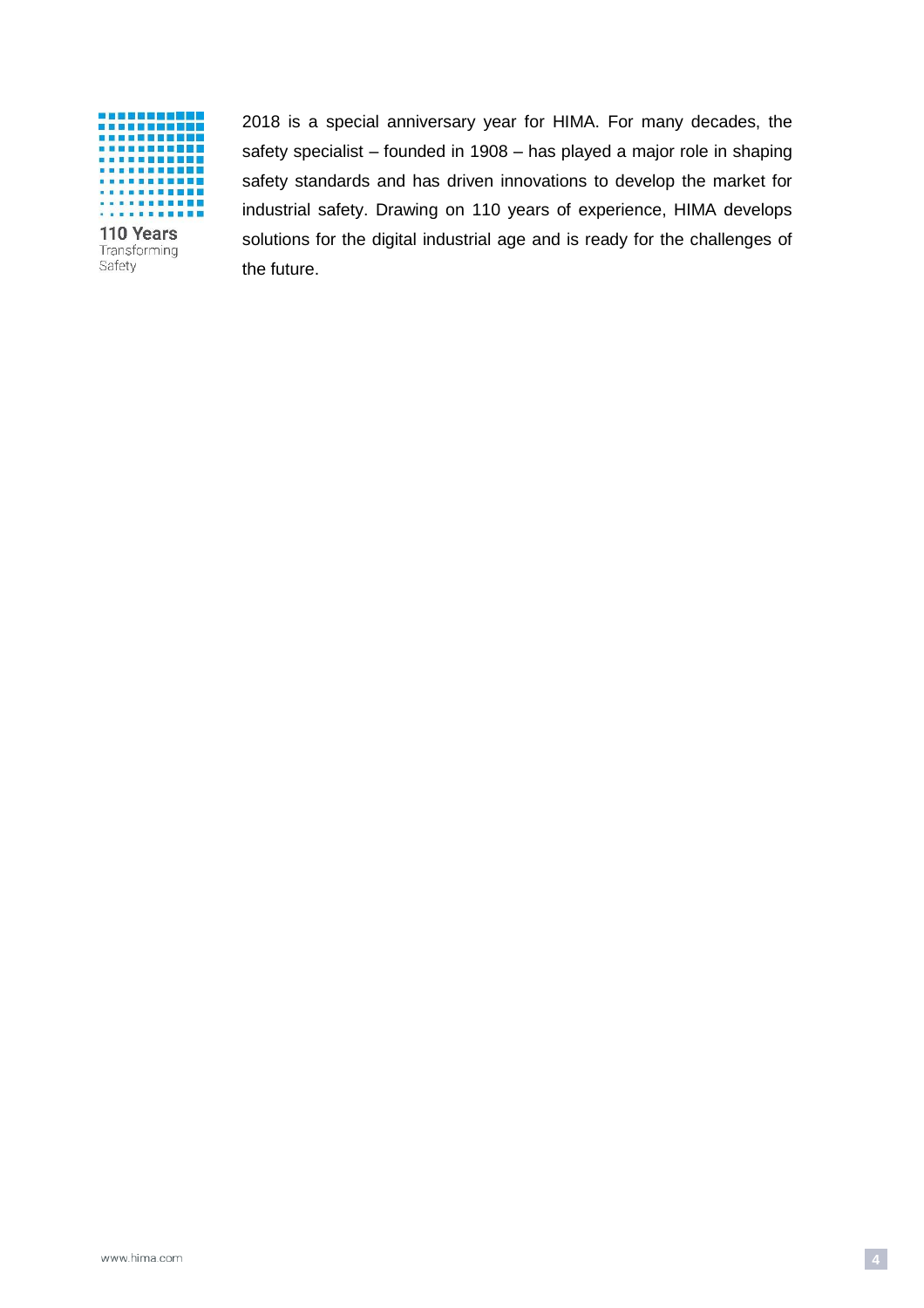

Transforming Safety

2018 is a special anniversary year for HIMA. For many decades, the safety specialist – founded in 1908 – has played a major role in shaping safety standards and has driven innovations to develop the market for industrial safety. Drawing on 110 years of experience, HIMA develops solutions for the digital industrial age and is ready for the challenges of the future.